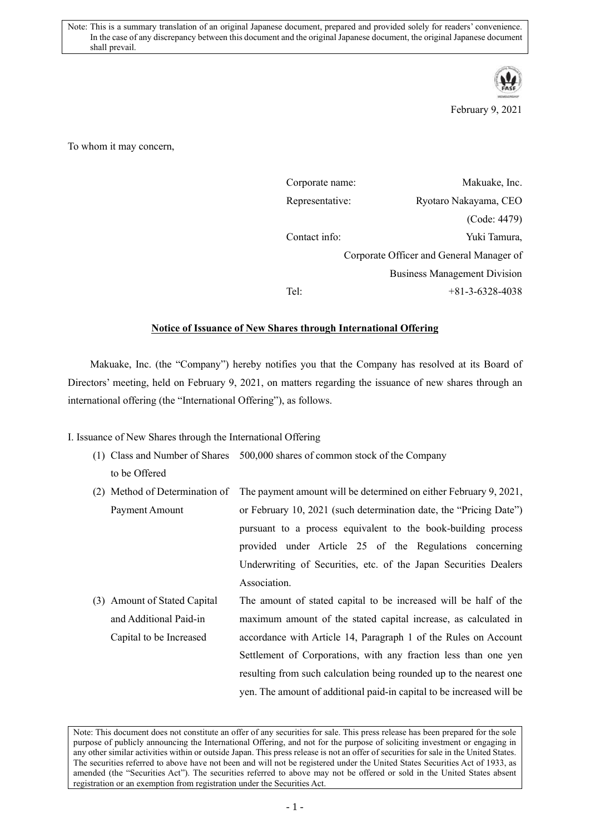

February 9, 2021

To whom it may concern,

| Corporate name: | Makuake, Inc.                            |
|-----------------|------------------------------------------|
| Representative: | Ryotaro Nakayama, CEO                    |
|                 | (Code: 4479)                             |
| Contact info:   | Yuki Tamura,                             |
|                 | Corporate Officer and General Manager of |
|                 | <b>Business Management Division</b>      |
| Tel:            | $+81-3-6328-4038$                        |
|                 |                                          |

## **Notice of Issuance of New Shares through International Offering**

Makuake, Inc. (the "Company") hereby notifies you that the Company has resolved at its Board of Directors' meeting, held on February 9, 2021, on matters regarding the issuance of new shares through an international offering (the "International Offering"), as follows.

I. Issuance of New Shares through the International Offering

- (1) Class and Number of Shares 500,000 shares of common stock of the Company to be Offered
- (2) Method of Determination of The payment amount will be determined on either February 9, 2021, Payment Amount or February 10, 2021 (such determination date, the "Pricing Date") pursuant to a process equivalent to the book-building process provided under Article 25 of the Regulations concerning Underwriting of Securities, etc. of the Japan Securities Dealers Association.
- (3) Amount of Stated Capital and Additional Paid-in Capital to be Increased The amount of stated capital to be increased will be half of the maximum amount of the stated capital increase, as calculated in accordance with Article 14, Paragraph 1 of the Rules on Account Settlement of Corporations, with any fraction less than one yen resulting from such calculation being rounded up to the nearest one yen. The amount of additional paid-in capital to be increased will be

Note: This document does not constitute an offer of any securities for sale. This press release has been prepared for the sole purpose of publicly announcing the International Offering, and not for the purpose of soliciting investment or engaging in any other similar activities within or outside Japan. This press release is not an offer of securities for sale in the United States. The securities referred to above have not been and will not be registered under the United States Securities Act of 1933, as amended (the "Securities Act"). The securities referred to above may not be offered or sold in the United States absent registration or an exemption from registration under the Securities Act.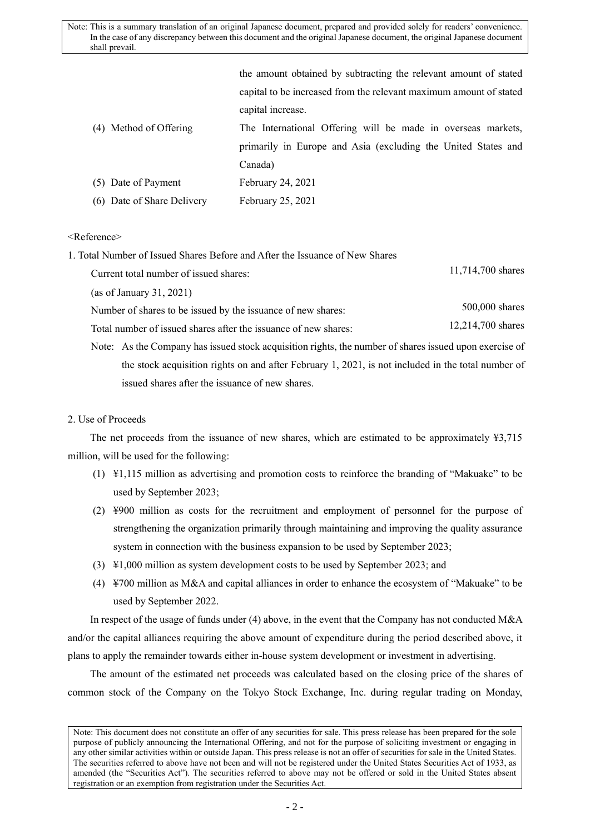Note: This is a summary translation of an original Japanese document, prepared and provided solely for readers' convenience. In the case of any discrepancy between this document and the original Japanese document, the original Japanese document shall prevail.

|                            | the amount obtained by subtracting the relevant amount of stated   |
|----------------------------|--------------------------------------------------------------------|
|                            | capital to be increased from the relevant maximum amount of stated |
|                            | capital increase.                                                  |
| (4) Method of Offering     | The International Offering will be made in overseas markets,       |
|                            | primarily in Europe and Asia (excluding the United States and      |
|                            | Canada)                                                            |
| (5) Date of Payment        | February 24, 2021                                                  |
| (6) Date of Share Delivery | February 25, 2021                                                  |
|                            |                                                                    |

## <Reference>

| 1. Total Number of Issued Shares Before and After the Issuance of New Shares |                   |
|------------------------------------------------------------------------------|-------------------|
| Current total number of issued shares:                                       | 11,714,700 shares |

(as of January 31, 2021)

Number of shares to be issued by the issuance of new shares: 500,000 shares 500,000 shares

Total number of issued shares after the issuance of new shares: 12,214,700 shares

Note: As the Company has issued stock acquisition rights, the number of shares issued upon exercise of the stock acquisition rights on and after February 1, 2021, is not included in the total number of issued shares after the issuance of new shares.

## 2. Use of Proceeds

The net proceeds from the issuance of new shares, which are estimated to be approximately ¥3,715 million, will be used for the following:

- (1) ¥1,115 million as advertising and promotion costs to reinforce the branding of "Makuake" to be used by September 2023;
- (2) ¥900 million as costs for the recruitment and employment of personnel for the purpose of strengthening the organization primarily through maintaining and improving the quality assurance system in connection with the business expansion to be used by September 2023;
- (3) ¥1,000 million as system development costs to be used by September 2023; and
- (4)  $\angle$  ¥700 million as M&A and capital alliances in order to enhance the ecosystem of "Makuake" to be used by September 2022.

In respect of the usage of funds under (4) above, in the event that the Company has not conducted M&A and/or the capital alliances requiring the above amount of expenditure during the period described above, it plans to apply the remainder towards either in-house system development or investment in advertising.

The amount of the estimated net proceeds was calculated based on the closing price of the shares of common stock of the Company on the Tokyo Stock Exchange, Inc. during regular trading on Monday,

Note: This document does not constitute an offer of any securities for sale. This press release has been prepared for the sole purpose of publicly announcing the International Offering, and not for the purpose of soliciting investment or engaging in any other similar activities within or outside Japan. This press release is not an offer of securities for sale in the United States. The securities referred to above have not been and will not be registered under the United States Securities Act of 1933, as amended (the "Securities Act"). The securities referred to above may not be offered or sold in the United States absent registration or an exemption from registration under the Securities Act.